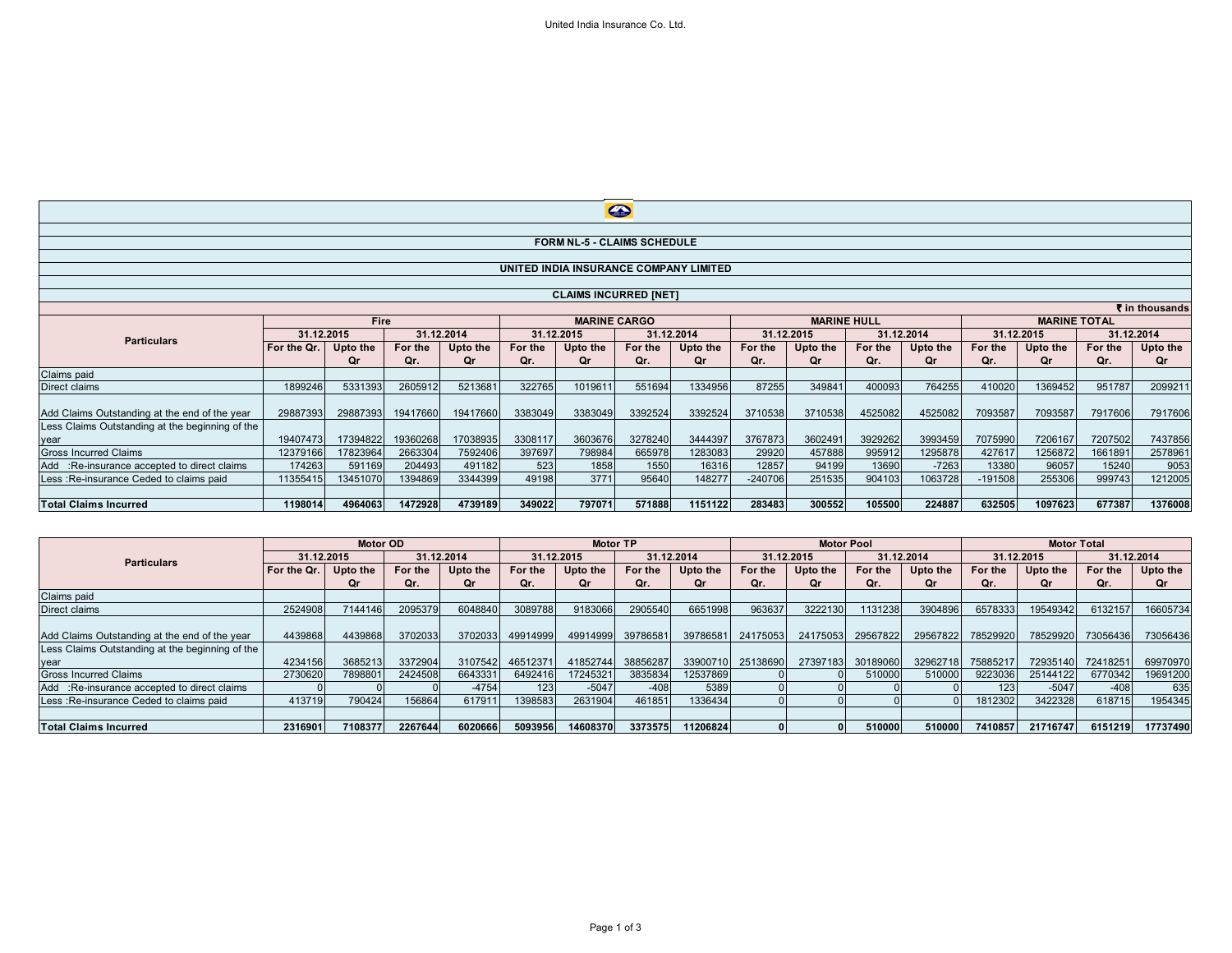| $\bigoplus$                                     |                                         |          |          |                     |         |            |         |                    |           |            |         |                                   |           |          |         |            |
|-------------------------------------------------|-----------------------------------------|----------|----------|---------------------|---------|------------|---------|--------------------|-----------|------------|---------|-----------------------------------|-----------|----------|---------|------------|
|                                                 |                                         |          |          |                     |         |            |         |                    |           |            |         |                                   |           |          |         |            |
| <b>FORM NL-5 - CLAIMS SCHEDULE</b>              |                                         |          |          |                     |         |            |         |                    |           |            |         |                                   |           |          |         |            |
|                                                 |                                         |          |          |                     |         |            |         |                    |           |            |         |                                   |           |          |         |            |
| UNITED INDIA INSURANCE COMPANY LIMITED          |                                         |          |          |                     |         |            |         |                    |           |            |         |                                   |           |          |         |            |
|                                                 |                                         |          |          |                     |         |            |         |                    |           |            |         |                                   |           |          |         |            |
| <b>CLAIMS INCURRED [NET]</b>                    |                                         |          |          |                     |         |            |         |                    |           |            |         |                                   |           |          |         |            |
| ₹ in thousands                                  |                                         |          |          |                     |         |            |         |                    |           |            |         |                                   |           |          |         |            |
|                                                 | <b>Fire</b><br>31.12.2015<br>31.12.2014 |          |          | <b>MARINE CARGO</b> |         |            |         | <b>MARINE HULL</b> |           |            |         | <b>MARINE TOTAL</b><br>31.12.2015 |           |          |         |            |
| <b>Particulars</b>                              |                                         |          |          |                     |         | 31.12.2015 |         | 31.12.2014         |           | 31.12.2015 |         | 31.12.2014                        |           |          |         | 31.12.2014 |
|                                                 | For the Qr.                             | Upto the | For the  | Upto the            | For the | Upto the   | For the | Upto the           | For the   | Upto the   | For the | Upto the                          | For the   | Upto the | For the | Upto the   |
|                                                 |                                         | Or       | Qr.      | Qr                  | Qr.     | Or         | Qr.     | Qr                 | Qr.       | Or         | Qr.     | Qr                                | Qr.       | Οr       | Qr.     | Qr         |
| Claims paid                                     |                                         |          |          |                     |         |            |         |                    |           |            |         |                                   |           |          |         |            |
| Direct claims                                   | 1899246                                 | 5331393  | 2605912  | 5213681             | 322765  | 1019611    | 551694  | 1334956            | 87255     | 349841     | 400093  | 764255                            | 410020    | 1369452  | 951787  | 2099211    |
|                                                 |                                         |          |          |                     |         |            |         |                    |           |            |         |                                   |           |          |         |            |
| Add Claims Outstanding at the end of the year   | 29887393                                | 29887393 | 19417660 | 19417660            | 3383049 | 3383049    | 3392524 | 3392524            | 3710538   | 3710538    | 4525082 | 4525082                           | 7093587   | 7093587  | 7917606 | 7917606    |
| Less Claims Outstanding at the beginning of the |                                         |          |          |                     |         |            |         |                    |           |            |         |                                   |           |          |         |            |
| year                                            | 19407473                                | 17394822 | 19360268 | 17038935            | 3308117 | 3603676    | 3278240 | 3444397            | 3767873   | 3602491    | 3929262 | 3993459                           | 7075990   | 7206167  | 7207502 | 7437856    |
| <b>Gross Incurred Claims</b>                    | 12379166                                | 17823964 | 2663304  | 7592406             | 397697  | 798984     | 665978  | 1283083            | 29920     | 457888     | 995912  | 1295878                           | 427617    | 1256872  | 1661891 | 2578961    |
| Add :Re-insurance accepted to direct claims     | 174263                                  | 591169   | 204493   | 491182              | 523     | 1858       | 1550    | 16316              | 12857     | 94199      | 13690   | $-7263$                           | 13380     | 96057    | 15240   | 9053       |
| Less: Re-insurance Ceded to claims paid         | 11355415                                | 13451070 | 1394869  | 3344399             | 49198   | 3771       | 95640   | 148277             | $-240706$ | 251535     | 904103  | 1063728                           | $-191508$ | 255306   | 999743  | 1212005    |
|                                                 |                                         |          |          |                     |         |            |         |                    |           |            |         |                                   |           |          |         |            |
| <b>Total Claims Incurred</b>                    | 1198014                                 | 4964063  | 1472928  | 4739189             | 349022  | 797071     | 571888  | 1151122            | 283483    | 300552     | 105500  | 224887                            | 632505    | 1097623  | 677387  | 1376008    |

|                                                 | <b>Motor OD</b> |          |            | <b>Motor TP</b> |            |          |            | <b>Motor Pool</b> |                   |          |            | <b>Motor Total</b> |            |          |            |          |
|-------------------------------------------------|-----------------|----------|------------|-----------------|------------|----------|------------|-------------------|-------------------|----------|------------|--------------------|------------|----------|------------|----------|
| <b>Particulars</b>                              | 31.12.2015      |          | 31.12.2014 |                 | 31.12.2015 |          | 31.12.2014 |                   | 31.12.2015        |          | 31.12.2014 |                    | 31.12.2015 |          | 31.12.2014 |          |
|                                                 | For the Qr.     | Jpto the | For the    | Upto the        | For the    | Upto the | For the    | Upto the          | For the           | Upto the | For the    | Upto the           | For the    | Upto the | For the    | Upto the |
|                                                 |                 | Qr       | Qr.        | Qr              | Or.        | Οr       | Qr.        | 0r                | Qr.               | Qr       | Or.        | Or.                | Or.        | Οr       | Or.        | Qr       |
| Claims paid                                     |                 |          |            |                 |            |          |            |                   |                   |          |            |                    |            |          |            |          |
| Direct claims                                   | 2524908         | 7144146  | 2095379    | 6048840         | 3089788    | 9183066  | 2905540    | 6651998           | 963637            | 3222130  | 131238     | 3904896            | 6578333    | 19549342 | 6132157    | 16605734 |
|                                                 |                 |          |            |                 |            |          |            |                   |                   |          |            |                    |            |          |            |          |
| Add Claims Outstanding at the end of the year   | 4439868         | 4439868  | 3702033    | 3702033         | 49914999   | 49914999 | 39786581   |                   | 39786581 24175053 | 24175053 | 29567822   | 29567822           | 78529920   | 78529920 | 73056436   | 73056436 |
| Less Claims Outstanding at the beginning of the |                 |          |            |                 |            |          |            |                   |                   |          |            |                    |            |          |            |          |
| year                                            | 4234156         | 3685213  | 3372904    | 3107542         | 46512371   | 41852744 | 38856287   | 33900710          | 25138690          | 27397183 | 30189060   | 32962718           | 75885217   | 72935140 | 72418251   | 69970970 |
| <b>Gross Incurred Claims</b>                    | 2730620         | 789880   | 2424508    | 6643331         | 6492416    | 17245321 | 3835834    | 12537869          |                   |          | 510000     | 510000             | 9223036    | 25144122 | 6770342    | 19691200 |
| Add :Re-insurance accepted to direct claims     |                 |          |            | $-4754$         | 123        | $-5047$  | $-408$     | 5389              |                   |          |            |                    | 123        | $-5047$  | $-408$     | 635      |
| Less: Re-insurance Ceded to claims paid         | 413719          | 790424   | 156864     | 617911          | 1398583    | 2631904  | 461851     | 1336434           |                   |          |            |                    | 1812302    | 3422328  | 618715     | 1954345  |
|                                                 |                 |          |            |                 |            |          |            |                   |                   |          |            |                    |            |          |            |          |
| <b>Total Claims Incurred</b>                    | 2316901         | 7108377  | 2267644    | 6020666         | 5093956    | 14608370 | 3373575    | 11206824          |                   |          | 510000     | 510000             | 7410857    | 21716747 | 6151219    | 17737490 |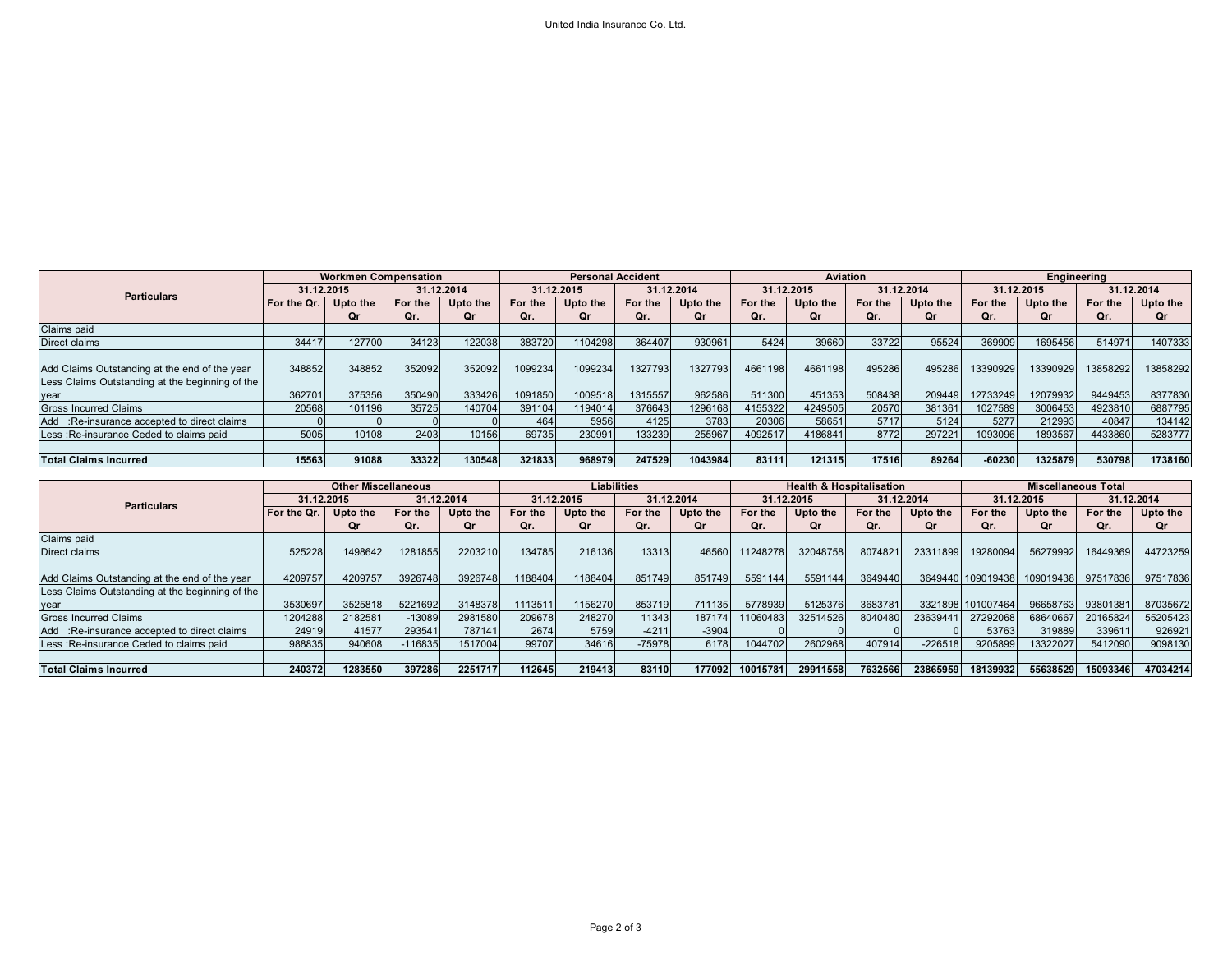|                                                 | <b>Workmen Compensation</b> |          |            |          | <b>Personal Accident</b> |          |            |          |            | Aviation |            |          | Engineering |          |            |          |
|-------------------------------------------------|-----------------------------|----------|------------|----------|--------------------------|----------|------------|----------|------------|----------|------------|----------|-------------|----------|------------|----------|
| <b>Particulars</b>                              | 31.12.2015                  |          | 31.12.2014 |          | 31.12.2015               |          | 31.12.2014 |          | 31.12.2015 |          | 31.12.2014 |          | 31.12.2015  |          | 31.12.2014 |          |
|                                                 | For the Qr.                 | Upto the | For the    | Upto the | For the                  | Upto the | For the    | Upto the | For the    | Upto the | For the    | Upto the | For the     | Upto the | For the    | Upto the |
|                                                 |                             | Or       | Qr.        | Or       | Or.                      | Οr       | Or.        | Or       | Or.        | Or       | Qr.        | Οr       | Or.         | Οr       | Qr.        | 0r       |
| Claims paid                                     |                             |          |            |          |                          |          |            |          |            |          |            |          |             |          |            |          |
| Direct claims                                   | 34417                       | 127700   | 34123      | 122038   | 383720                   | 1104298  | 364407     | 930961   | 5424       | 39660    | 33722      | 95524    | 369909      | 1695456  | 514971     | 1407333  |
|                                                 |                             |          |            |          |                          |          |            |          |            |          |            |          |             |          |            |          |
| Add Claims Outstanding at the end of the year   | 348852                      | 348852   | 352092     | 352092   | 1099234                  | 1099234  | 1327793    | 1327793  | 4661198    | 4661198  | 495286     | 495286   | 13390929    | 13390929 | 13858292   | 13858292 |
| Less Claims Outstanding at the beginning of the |                             |          |            |          |                          |          |            |          |            |          |            |          |             |          |            |          |
| vear                                            | 362701                      | 375356   | 350490     | 333426   | 1091850                  | 1009518  | 1315557    | 962586   | 511300     | 451353   | 508438     | 209449   | 12733249    | 12079932 | 9449453    | 8377830  |
| <b>Gross Incurred Claims</b>                    | 20568                       | 101196   | 35725      | 140704   | 391104                   | 1194014  | 376643     | 1296168  | 4155322    | 4249505  | 20570      | 381361   | 1027589     | 3006453  | 4923810    | 6887795  |
| Add :Re-insurance accepted to direct claims     |                             |          |            |          | 464                      | 5956     | 4125       | 3783     | 20306      | 58651    | 5717       | 5124     | 5277        | 212993   | 40847      | 134142   |
| Less: Re-insurance Ceded to claims paid         | 5005                        | 10108    | 2403       | 10156    | 69735                    | 230991   | 133239     | 255967   | 4092517    | 4186841  | 8772       | 297221   | 1093096     | 1893567  | 4433860    | 5283777  |
|                                                 |                             |          |            |          |                          |          |            |          |            |          |            |          |             |          |            |          |
| <b>Total Claims Incurred</b>                    | 15563                       | 91088    | 33322      | 130548   | 321833                   | 968979   | 247529     | 1043984  | 83111      | 121315   | 17516      | 89264    | $-60230$    | 1325879  | 530798     | 1738160  |
|                                                 |                             |          |            |          |                          |          |            |          |            |          |            |          |             |          |            |          |

|                                                 | <b>Other Miscellaneous</b> |          |          |            | Liabilities |            |          |            |          | <b>Health &amp; Hospitalisation</b> |         |            | <b>Miscellaneous Total</b> |            |                   |            |
|-------------------------------------------------|----------------------------|----------|----------|------------|-------------|------------|----------|------------|----------|-------------------------------------|---------|------------|----------------------------|------------|-------------------|------------|
| <b>Particulars</b>                              | 31.12.2015                 |          |          | 31.12.2014 |             | 31.12.2015 |          | 31.12.2014 |          | 31.12.2015                          |         | 31.12.2014 |                            | 31.12.2015 |                   | 31.12.2014 |
|                                                 | For the Qr.                | Upto the | For the  | Upto the   | For the     | Upto the   | For the  | Upto the   | For the  | Upto the                            | For the | Upto the   | For the                    | Upto the   | For the           | Upto the   |
|                                                 |                            | Qr       | Qr.      | Οr         | Or.         | Qr         | Qr.      | <b>Or</b>  | Or.      | Qr                                  | Qr.     | Qr         | Qr.                        | Or         | Or.               | Qr         |
| Claims paid                                     |                            |          |          |            |             |            |          |            |          |                                     |         |            |                            |            |                   |            |
| Direct claims                                   | 525228                     | 1498642  | 1281855  | 2203210    | 134785      | 216136     | 13313    | 46560      | 11248278 | 32048758                            | 8074821 | 23311899   | 19280094                   | 56279992   | 16449369          | 44723259   |
|                                                 |                            |          |          |            |             |            |          |            |          |                                     |         |            |                            |            |                   |            |
| Add Claims Outstanding at the end of the year   | 4209757                    | 4209757  | 3926748  | 3926748    | 1188404     | 1188404    | 851749   | 851749     | 5591144  | 5591144                             | 3649440 |            | 3649440 109019438          | 109019438  | 97517836          | 97517836   |
| Less Claims Outstanding at the beginning of the |                            |          |          |            |             |            |          |            |          |                                     |         |            |                            |            |                   |            |
| vear                                            | 3530697                    | 3525818  | 5221692  | 3148378    | 1113511     | 1156270    | 853719   | 711135     | 5778939  | 5125376                             | 3683781 |            | 3321898 101007464          |            | 96658763 93801381 | 87035672   |
| <b>Gross Incurred Claims</b>                    | 1204288                    | 2182581  | $-13089$ | 2981580    | 209678      | 248270     | 11343    | 187174     | 11060483 | 32514526                            | 8040480 | 23639441   | 27292068                   |            | 68640667 20165824 | 55205423   |
| Add :Re-insurance accepted to direct claims     | 24919                      | 41577    | 293541   | 787141     | 2674        | 5759       | $-4211$  | $-3904$    |          |                                     |         |            | 53763                      | 319889     | 339611            | 926921     |
| Less: Re-insurance Ceded to claims paid         | 988835                     | 940608   | -116835  | 1517004    | 99707       | 34616      | $-75978$ | 6178       | 1044702  | 2602968                             | 407914  | $-226518$  | 9205899                    | 13322027   | 5412090           | 9098130    |
|                                                 |                            |          |          |            |             |            |          |            |          |                                     |         |            |                            |            |                   |            |
| <b>Total Claims Incurred</b>                    | 240372                     | 1283550  | 397286   | 2251717    | 112645      | 219413     | 83110    | 177092     | 10015781 | 29911558                            | 7632566 | 23865959   | 18139932                   | 55638529   | 15093346          | 47034214   |